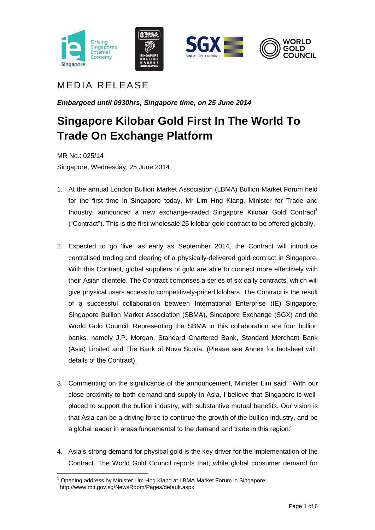







## MEDIA RELEASE

*Embargoed until 0930hrs, Singapore time, on 25 June 2014*

# **Singapore Kilobar Gold First In The World To Trade On Exchange Platform**

MR No.: 025/14 Singapore, Wednesday, 25 June 2014

- 1. At the annual London Bullion Market Association (LBMA) Bullion Market Forum held for the first time in Singapore today, Mr Lim Hng Kiang, Minister for Trade and Industry, announced a new exchange-traded Singapore Kilobar Gold Contract<sup>1</sup> ("Contract"). This is the first wholesale 25 kilobar gold contract to be offered globally.
- 2. Expected to go 'live' as early as September 2014, the Contract will introduce centralised trading and clearing of a physically-delivered gold contract in Singapore. With this Contract, global suppliers of gold are able to connect more effectively with their Asian clientele. The Contract comprises a series of six daily contracts, which will give physical users access to competitively-priced kilobars. The Contract is the result of a successful collaboration between International Enterprise (IE) Singapore, Singapore Bullion Market Association (SBMA), Singapore Exchange (SGX) and the World Gold Council. Representing the SBMA in this collaboration are four bullion banks, namely J.P. Morgan, Standard Chartered Bank, Standard Merchant Bank (Asia) Limited and The Bank of Nova Scotia. (Please see Annex for factsheet with details of the Contract).
- 3. Commenting on the significance of the announcement, Minister Lim said, "With our close proximity to both demand and supply in Asia, I believe that Singapore is wellplaced to support the bullion industry, with substantive mutual benefits. Our vision is that Asia can be a driving force to continue the growth of the bullion industry, and be a global leader in areas fundamental to the demand and trade in this region."
- 4. Asia's strong demand for physical gold is the key driver for the implementation of the Contract. The World Gold Council reports that, while global consumer demand for

**<sup>.</sup>**  $1$  Opening address by Minister Lim Hng Kiang at LBMA Market Forum in Singapore: <http://www.mti.gov.sg/NewsRoom/Pages/default.aspx>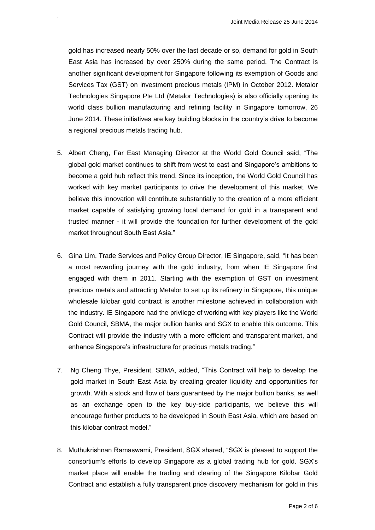gold has increased nearly 50% over the last decade or so, demand for gold in South East Asia has increased by over 250% during the same period. The Contract is another significant development for Singapore following its exemption of Goods and Services Tax (GST) on investment precious metals (IPM) in October 2012. Metalor Technologies Singapore Pte Ltd (Metalor Technologies) is also officially opening its world class bullion manufacturing and refining facility in Singapore tomorrow, 26 June 2014. These initiatives are key building blocks in the country's drive to become a regional precious metals trading hub.

- 5. Albert Cheng, Far East Managing Director at the World Gold Council said, "The global gold market continues to shift from west to east and Singapore's ambitions to become a gold hub reflect this trend. Since its inception, the World Gold Council has worked with key market participants to drive the development of this market. We believe this innovation will contribute substantially to the creation of a more efficient market capable of satisfying growing local demand for gold in a transparent and trusted manner - it will provide the foundation for further development of the gold market throughout South East Asia."
- 6. Gina Lim, Trade Services and Policy Group Director, IE Singapore, said, "It has been a most rewarding journey with the gold industry, from when IE Singapore first engaged with them in 2011. Starting with the exemption of GST on investment precious metals and attracting Metalor to set up its refinery in Singapore, this unique wholesale kilobar gold contract is another milestone achieved in collaboration with the industry. IE Singapore had the privilege of working with key players like the World Gold Council, SBMA, the major bullion banks and SGX to enable this outcome. This Contract will provide the industry with a more efficient and transparent market, and enhance Singapore's infrastructure for precious metals trading."
- 7. Ng Cheng Thye, President, SBMA, added, "This Contract will help to develop the gold market in South East Asia by creating greater liquidity and opportunities for growth. With a stock and flow of bars guaranteed by the major bullion banks, as well as an exchange open to the key buy-side participants, we believe this will encourage further products to be developed in South East Asia, which are based on this kilobar contract model."
- 8. Muthukrishnan Ramaswami, President, SGX shared, "SGX is pleased to support the consortium's efforts to develop Singapore as a global trading hub for gold. SGX's market place will enable the trading and clearing of the Singapore Kilobar Gold Contract and establish a fully transparent price discovery mechanism for gold in this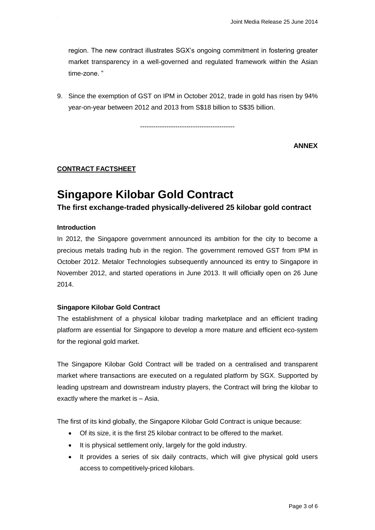region. The new contract illustrates SGX's ongoing commitment in fostering greater market transparency in a well-governed and regulated framework within the Asian time-zone. "

9. Since the exemption of GST on IPM in October 2012, trade in gold has risen by 94% year-on-year between 2012 and 2013 from S\$18 billion to S\$35 billion.

-------------------------------------------

**ANNEX**

## **CONTRACT FACTSHEET**

# **Singapore Kilobar Gold Contract**

**The first exchange-traded physically-delivered 25 kilobar gold contract**

#### **Introduction**

In 2012, the Singapore government announced its ambition for the city to become a precious metals trading hub in the region. The government removed GST from IPM in October 2012. Metalor Technologies subsequently announced its entry to Singapore in November 2012, and started operations in June 2013. It will officially open on 26 June 2014.

#### **Singapore Kilobar Gold Contract**

The establishment of a physical kilobar trading marketplace and an efficient trading platform are essential for Singapore to develop a more mature and efficient eco-system for the regional gold market.

The Singapore Kilobar Gold Contract will be traded on a centralised and transparent market where transactions are executed on a regulated platform by SGX. Supported by leading upstream and downstream industry players, the Contract will bring the kilobar to exactly where the market is – Asia.

The first of its kind globally, the Singapore Kilobar Gold Contract is unique because:

- Of its size, it is the first 25 kilobar contract to be offered to the market.
- It is physical settlement only, largely for the gold industry.
- It provides a series of six daily contracts, which will give physical gold users access to competitively-priced kilobars.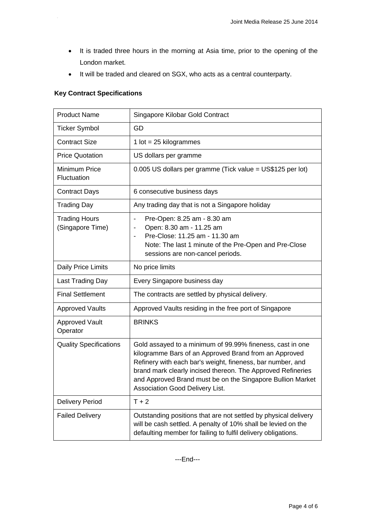- It is traded three hours in the morning at Asia time, prior to the opening of the London market.
- It will be traded and cleared on SGX, who acts as a central counterparty.

## **Key Contract Specifications**

75

| <b>Product Name</b>                      | Singapore Kilobar Gold Contract                                                                                                                                                                                                                                                                                                                         |
|------------------------------------------|---------------------------------------------------------------------------------------------------------------------------------------------------------------------------------------------------------------------------------------------------------------------------------------------------------------------------------------------------------|
| <b>Ticker Symbol</b>                     | GD                                                                                                                                                                                                                                                                                                                                                      |
| <b>Contract Size</b>                     | 1 lot = $25$ kilogrammes                                                                                                                                                                                                                                                                                                                                |
| <b>Price Quotation</b>                   | US dollars per gramme                                                                                                                                                                                                                                                                                                                                   |
| Minimum Price<br>Fluctuation             | 0.005 US dollars per gramme (Tick value = US\$125 per lot)                                                                                                                                                                                                                                                                                              |
| <b>Contract Days</b>                     | 6 consecutive business days                                                                                                                                                                                                                                                                                                                             |
| <b>Trading Day</b>                       | Any trading day that is not a Singapore holiday                                                                                                                                                                                                                                                                                                         |
| <b>Trading Hours</b><br>(Singapore Time) | Pre-Open: 8.25 am - 8.30 am<br>$\qquad \qquad \blacksquare$<br>Open: 8.30 am - 11.25 am<br>Pre-Close: 11.25 am - 11.30 am<br>Note: The last 1 minute of the Pre-Open and Pre-Close<br>sessions are non-cancel periods.                                                                                                                                  |
| Daily Price Limits                       | No price limits                                                                                                                                                                                                                                                                                                                                         |
| Last Trading Day                         | Every Singapore business day                                                                                                                                                                                                                                                                                                                            |
| <b>Final Settlement</b>                  | The contracts are settled by physical delivery.                                                                                                                                                                                                                                                                                                         |
| <b>Approved Vaults</b>                   | Approved Vaults residing in the free port of Singapore                                                                                                                                                                                                                                                                                                  |
| <b>Approved Vault</b><br>Operator        | <b>BRINKS</b>                                                                                                                                                                                                                                                                                                                                           |
| <b>Quality Specifications</b>            | Gold assayed to a minimum of 99.99% fineness, cast in one<br>kilogramme Bars of an Approved Brand from an Approved<br>Refinery with each bar's weight, fineness, bar number, and<br>brand mark clearly incised thereon. The Approved Refineries<br>and Approved Brand must be on the Singapore Bullion Market<br><b>Association Good Delivery List.</b> |
| <b>Delivery Period</b>                   | $T + 2$                                                                                                                                                                                                                                                                                                                                                 |
| <b>Failed Delivery</b>                   | Outstanding positions that are not settled by physical delivery<br>will be cash settled. A penalty of 10% shall be levied on the<br>defaulting member for failing to fulfil delivery obligations.                                                                                                                                                       |

---End---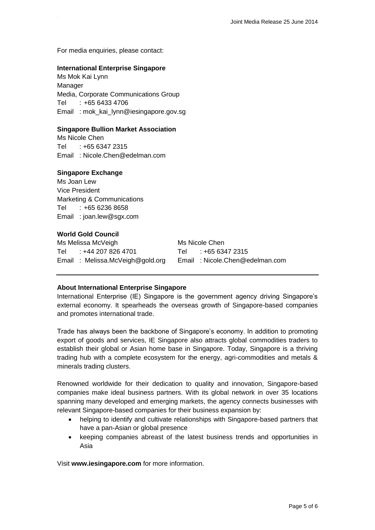For media enquiries, please contact:

#### **International Enterprise Singapore**

Ms Mok Kai Lynn Manager Media, Corporate Communications Group Tel : +65 6433 4706 Email : [mok\\_kai\\_lynn@iesingapore.gov.sg](mailto:mok_kai_lynn@iesingapore.gov.sg)

#### **Singapore Bullion Market Association**

Ms Nicole Chen Tel : +65 6347 2315 Email : Nicole.Chen@edelman.com

#### **Singapore Exchange**

Ms Joan Lew Vice President Marketing & Communications Tel : +65 6236 8658 Email : joan.lew@sgx.com

#### **World Gold Council**

Ms Melissa McVeigh Ms Nicole Chen Tel : +44 207 826 4701 Tel : +65 6347 2315 Email : [Melissa.McVeigh@gold.org](mailto:%20Melissa.McVeigh@gold.org) Email : Nicole.Chen@edelman.com

#### **About International Enterprise Singapore**

International Enterprise (IE) Singapore is the government agency driving Singapore's external economy. It spearheads the overseas growth of Singapore-based companies and promotes international trade.

Trade has always been the backbone of Singapore's economy. In addition to promoting export of goods and services, IE Singapore also attracts global commodities traders to establish their global or Asian home base in Singapore. Today, Singapore is a thriving trading hub with a complete ecosystem for the energy, agri-commodities and metals & minerals trading clusters.

Renowned worldwide for their dedication to quality and innovation, Singapore-based companies make ideal business partners. With its global network in over 35 locations spanning many developed and emerging markets, the agency connects businesses with relevant Singapore-based companies for their business expansion by:

- helping to identify and cultivate relationships with Singapore-based partners that have a pan-Asian or global presence
- keeping companies abreast of the latest business trends and opportunities in Asia

Visit **www.iesingapore.com** for more information.